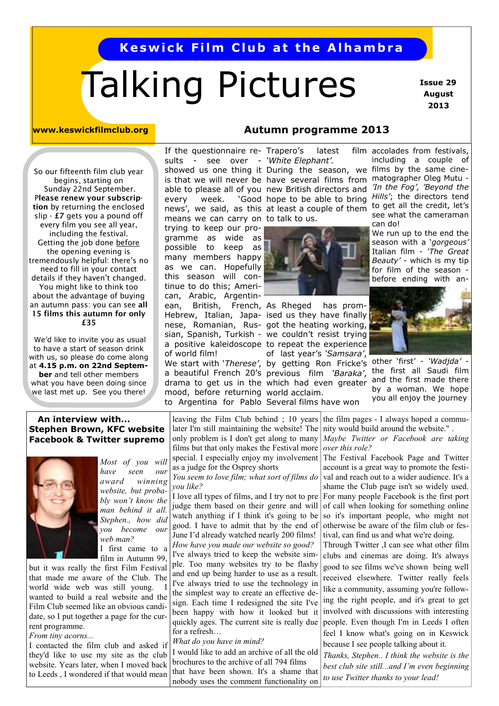## **Keswick Film Club at the Alhambra**

# Talking Pictures

 **Issue 29 August 2013** 

#### **www.keswickfilmclub.org**

So our fifteenth film club year begins, starting on Sunday 22nd September. P**lease renew your subscription** by returning the enclosed slip - **£7** gets you a pound off every film you see all year, including the festival. Getting the job done before the opening evening is tremendously helpful: there's no need to fill in your contact details if they haven't changed. You might like to think too about the advantage of buying an autumn pass: you can see **all 15 films this autumn for only £35** 

 We'd like to invite you as usual to have a start of season drink with us, so please do come along at **4.15 p.m. on 22nd September** and tell other members what you have been doing since we last met up. See you there!

## **Autumn programme 2013**

If the questionnaire re- Trapero's latest film sults - see over - 'White Elephant'. means we can carry on to talk to us. every week. 'Good news', we said, as this trying to keep our programme as wide as possible to keep as many members happy as we can. Hopefully this season will continue to do this; American, Arabic, Argentin-

mood, before returning world acclaim. to Argentina for Pablo Several films have won of world film!

showed us one thing it During the season, we films by the same cineis that we will never be have several films from matographer Oleg Mutu able to please all of you new British directors and *In the Fog', 'Beyond the* 



We start with '*Therese'*, by getting Ron Fricke's other 'first' - 'Wadjda' ean, British, French, As Rheged has prom-Hebrew, Italian, Japa- ised us they have finally nese, Romanian, Rus- got the heating working, sian, Spanish, Turkish - we couldn't resist trying a positive kaleidoscope to repeat the experience of last year's *'Samsara'*, a beautiful French 20's previous film *'Baraka'*, drama to get us in the which had even greater

film accolades from festivals, including a couple of hope to be able to bring *Hills'*; the directors tend at least a couple of them to get all the credit, let's see what the cameraman can do!

We run up to the end the season with a '*gorgeous'*  Italian film - *'The Great Beauty'* - which is my tip for film of the season before ending with an-



the first all Saudi film and the first made there by a woman. We hope you all enjoy the journey

#### **An interview with... Stephen Brown, KFC website Facebook & Twitter supremo**



*Most of you will have seen our award winning website, but probably won't know the man behind it all. Stephen., how did you become our web man?*  I first came to a film in Autumn 99.

but it was really the first Film Festival that made me aware of the Club. The world wide web was still young. wanted to build a real website and the Film Club seemed like an obvious candidate, so I put together a page for the current programme.

*From tiny acorns...*

I contacted the film club and asked if they'd like to use my site as the club website. Years later, when I moved back to Leeds , I wondered if that would mean

leaving the Film Club behind ; 10 years later I'm still maintaining the website! The only problem is I don't get along to many films but that only makes the Festival more special. I especially enjoy my involvement as a judge for the Osprey shorts

*You seem to love film; what sort of films do you like?*

I love all types of films, and I try not to pre judge them based on their genre and will watch anything if I think it's going to be good. I have to admit that by the end of June I'd already watched nearly 200 films! *How have you made our website so good?* I've always tried to keep the website sim-

ple. Too many websites try to be flashy and end up being harder to use as a result. I've always tried to use the technology in the simplest way to create an effective design. Each time I redesigned the site I've been happy with how it looked but it quickly ages. The current site is really due for a refresh…

*What do you have in mind?* 

I would like to add an archive of all the old brochures to the archive of all 794 films that have been shown. It's a shame that nobody uses the comment functionality on

the film pages - I always hoped a community would build around the website." .

*Maybe Twitter or Facebook are taking over this role?* 

The Festival Facebook Page and Twitter account is a great way to promote the festival and reach out to a wider audience. It's a shame the Club page isn't so widely used. For many people Facebook is the first port of call when looking for something online so it's important people, who might not otherwise be aware of the film club or festival, can find us and what we're doing.

Through Twitter ,I can see what other film clubs and cinemas are doing. It's always good to see films we've shown being well received elsewhere. Twitter really feels like a community, assuming you're following the right people, and it's great to get involved with discussions with interesting people. Even though I'm in Leeds I often feel I know what's going on in Keswick because I see people talking about it.

*Thanks, Stephen.. I think the website is the best club site still...and I'm even beginning to use Twitter thanks to your lead!*